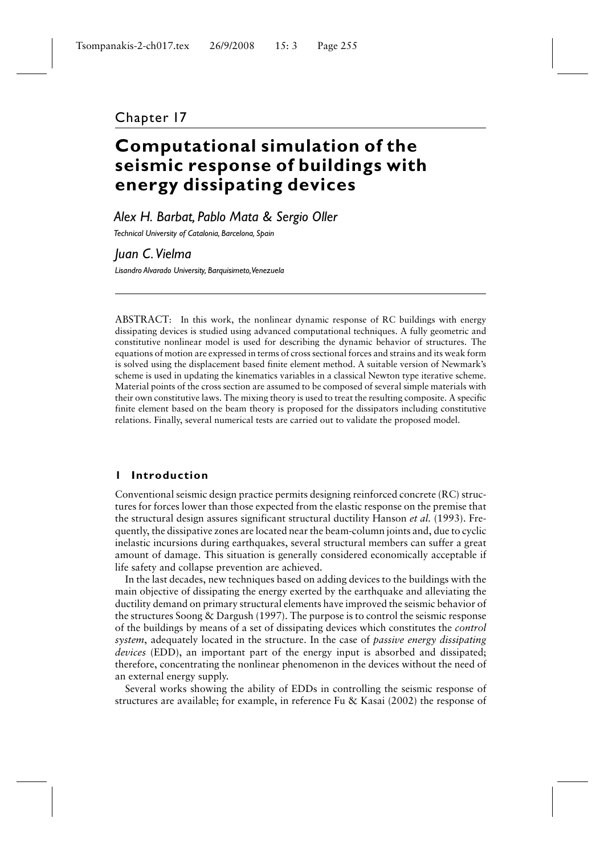## Chapter 17

# **Computational simulation of the seismic response of buildings with energy dissipating devices**

### *Alex H. Barbat, Pablo Mata & Sergio Oller*

*Technical University of Catalonia, Barcelona, Spain*

### *Juan C.Vielma*

*Lisandro Alvarado University, Barquisimeto,Venezuela*

ABSTRACT: In this work, the nonlinear dynamic response of RC buildings with energy dissipating devices is studied using advanced computational techniques. A fully geometric and constitutive nonlinear model is used for describing the dynamic behavior of structures. The equations of motion are expressed in terms of cross sectional forces and strains and its weak form is solved using the displacement based finite element method. A suitable version of Newmark's scheme is used in updating the kinematics variables in a classical Newton type iterative scheme. Material points of the cross section are assumed to be composed of several simple materials with their own constitutive laws. The mixing theory is used to treat the resulting composite. A specific finite element based on the beam theory is proposed for the dissipators including constitutive relations. Finally, several numerical tests are carried out to validate the proposed model.

### **1 Introduction**

Conventional seismic design practice permits designing reinforced concrete (RC) structures for forces lower than those expected from the elastic response on the premise that the structural design assures significant structural ductility Hanson *et al.* (1993). Frequently, the dissipative zones are located near the beam-column joints and, due to cyclic inelastic incursions during earthquakes, several structural members can suffer a great amount of damage. This situation is generally considered economically acceptable if life safety and collapse prevention are achieved.

In the last decades, new techniques based on adding devices to the buildings with the main objective of dissipating the energy exerted by the earthquake and alleviating the ductility demand on primary structural elements have improved the seismic behavior of the structures Soong & Dargush (1997). The purpose is to control the seismic response of the buildings by means of a set of dissipating devices which constitutes the *control system*, adequately located in the structure. In the case of *passive energy dissipating devices* (EDD), an important part of the energy input is absorbed and dissipated; therefore, concentrating the nonlinear phenomenon in the devices without the need of an external energy supply.

Several works showing the ability of EDDs in controlling the seismic response of structures are available; for example, in reference Fu & Kasai (2002) the response of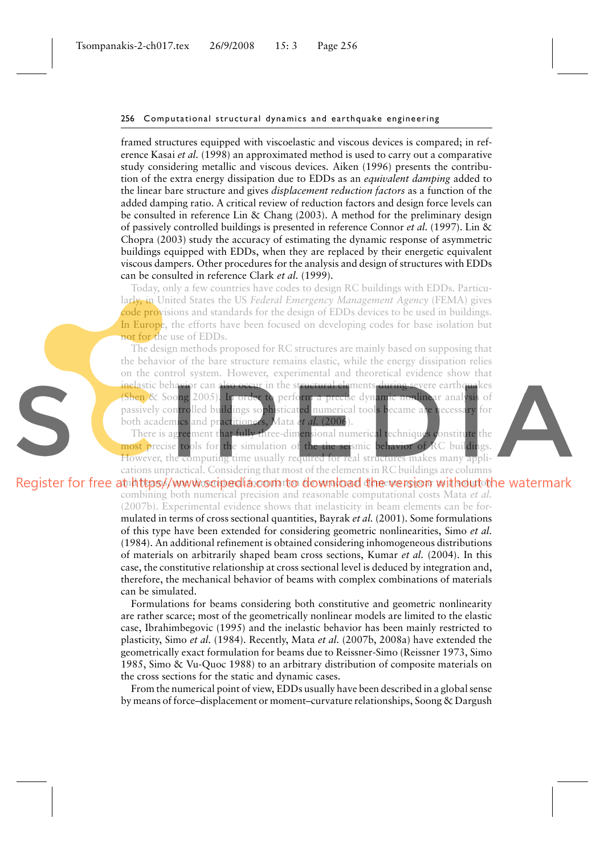framed structures equipped with viscoelastic and viscous devices is compared; in reference Kasai *et al.* (1998) an approximated method is used to carry out a comparative study considering metallic and viscous devices. Aiken (1996) presents the contribution of the extra energy dissipation due to EDDs as an *equivalent damping* added to the linear bare structure and gives *displacement reduction factors* as a function of the added damping ratio. A critical review of reduction factors and design force levels can be consulted in reference Lin & Chang (2003). A method for the preliminary design of passively controlled buildings is presented in reference Connor *et al.* (1997). Lin & Chopra (2003) study the accuracy of estimating the dynamic response of asymmetric buildings equipped with EDDs, when they are replaced by their energetic equivalent viscous dampers. Other procedures for the analysis and design of structures with EDDs can be consulted in reference Clark *et al.* (1999).

Today, only a few countries have codes to design RC buildings with EDDs. Particularly, in United States the US *Federal Emergency Management Agency* (FEMA) gives code provisions and standards for the design of EDDs devices to be used in buildings. In Europe, the efforts have been focused on developing codes for base isolation but not for the use of EDDs.

The design methods proposed for RC structures are mainly based on supposing that the behavior of the bare structure remains elastic, while the energy dissipation relies on the control system. However, experimental and theoretical evidence show that inelastic behavior can also occur in the structural elements during severe earthquakes (Shen & Soong 2005). In order to perform a precise dynamic nonlinear analysis of passively controlled buildings sophisticated numerical tools became are necessary for both academics and practitioners, Mata *et al.* (2006).

There is agreement that fully three-dimensional numerical techniques constitute the most precise tools for the simulation of the the seismic behavior of RC buildings. However, the computing time usually required for real structures makes many applications unpractical. Considering that most of the elements in RC buildings are columns



Register for free at  $https://www.scipedi}$  com to download dhe version without the watermark combining both numerical precision and reasonable computational costs Mata *et al.* (2007b). Experimental evidence shows that inelasticity in beam elements can be formulated in terms of cross sectional quantities, Bayrak *et al.* (2001). Some formulations of this type have been extended for considering geometric nonlinearities, Simo *et al.* (1984). An additional refinement is obtained considering inhomogeneous distributions of materials on arbitrarily shaped beam cross sections, Kumar *et al.* (2004). In this case, the constitutive relationship at cross sectional level is deduced by integration and, therefore, the mechanical behavior of beams with complex combinations of materials can be simulated.

> Formulations for beams considering both constitutive and geometric nonlinearity are rather scarce; most of the geometrically nonlinear models are limited to the elastic case, Ibrahimbegovic (1995) and the inelastic behavior has been mainly restricted to plasticity, Simo *et al.* (1984). Recently, Mata *et al.* (2007b, 2008a) have extended the geometrically exact formulation for beams due to Reissner-Simo (Reissner 1973, Simo 1985, Simo & Vu-Quoc 1988) to an arbitrary distribution of composite materials on the cross sections for the static and dynamic cases.

> From the numerical point of view, EDDs usually have been described in a global sense by means of force–displacement or moment–curvature relationships, Soong & Dargush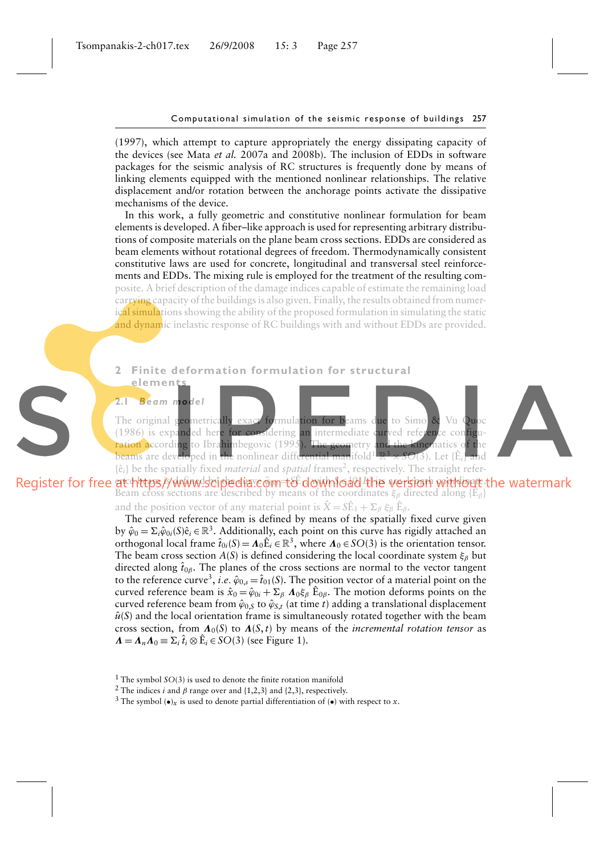(1997), which attempt to capture appropriately the energy dissipating capacity of the devices (see Mata *et al.* 2007a and 2008b). The inclusion of EDDs in software packages for the seismic analysis of RC structures is frequently done by means of linking elements equipped with the mentioned nonlinear relationships. The relative displacement and/or rotation between the anchorage points activate the dissipative mechanisms of the device.

In this work, a fully geometric and constitutive nonlinear formulation for beam elements is developed. A fiber–like approach is used for representing arbitrary distributions of composite materials on the plane beam cross sections. EDDs are considered as beam elements without rotational degrees of freedom. Thermodynamically consistent constitutive laws are used for concrete, longitudinal and transversal steel reinforcements and EDDs. The mixing rule is employed for the treatment of the resulting composite. A brief description of the damage indices capable of estimate the remaining load carrying capacity of the buildings is also given. Finally, the results obtained from numerical simulations showing the ability of the proposed formulation in simulating the static and dynamic inelastic response of RC buildings with and without EDDs are provided.

### **2 Finite deformation formulation for structural**

#### **2.1** *Beam model*

**elements**

The original geometrically exact formulation for beams due to Simo & Vu Quot (1986) is expanded here for considering an intermediate curved reference configuration according to Ibrahimbegovic (1995). The geometry and the kinematics of the beams are developed in the nonlinear differential manifold<sup>1</sup> R  $\times$  *SO*(3). Let {Ê<sub>*i*</sub> {ê<sub>i</sub>} be the spatially fixed *material* and *spatial* frames<sup>2</sup>, respectively. The straight refer-



Register for free at https//www.soipedia:com t&download4the versign with out the watermark Beam cross sections are described by means of the coordinates  $\xi_{\beta}$  directed along  $\{\hat{E}_{\beta}\}$ and the position vector of any material point is  $\hat{X} = S \hat{E}_1 + \Sigma_\beta \xi_\beta \hat{E}_\beta$ .

> The curved reference beam is defined by means of the spatially fixed curve given by  $\hat{\varphi}_0 = \Sigma_i \hat{\varphi}_{0i}(S) \hat{e}_i \in \mathbb{R}^3$ . Additionally, each point on this curve has rigidly attached an orthogonal local frame  $\hat{t}_{0i}(S) = \Lambda_0 \hat{E}_i \in \mathbb{R}^3$ , where  $\Lambda_0 \in SO(3)$  is the orientation tensor. The beam cross section  $A(S)$  is defined considering the local coordinate system  $\xi_{\beta}$  but directed along  $\hat{t}_{0\beta}$ . The planes of the cross sections are normal to the vector tangent to the reference curve<sup>3</sup>, *i.e.*  $\hat{\varphi}_{0,s} = \hat{t}_{01}(S)$ . The position vector of a material point on the curved reference beam is  $\hat{x}_0 = \hat{\varphi}_{0i} + \Sigma_{\beta} \Lambda_0 \xi_{\beta} \hat{E}_{0\beta}$ . The motion deforms points on the curved reference beam from  $\hat{\varphi}_{0,S}$  to  $\hat{\varphi}_{S,t}$  (at time *t*) adding a translational displacement  $\hat{u}(S)$  and the local orientation frame is simultaneously rotated together with the beam cross section, from  $\Lambda_0(S)$  to  $\Lambda(S,t)$  by means of the *incremental rotation tensor* as  $\Lambda = \Lambda_n \Lambda_0 \equiv \Sigma_i \,\hat{\imath}_i \otimes \hat{\mathbf{E}}_i \in SO(3)$  (see Figure 1).

<sup>1</sup> The symbol *SO*(3) is used to denote the finite rotation manifold

<sup>&</sup>lt;sup>2</sup> The indices *i* and  $\beta$  range over and {1,2,3} and {2,3}, respectively.

<sup>&</sup>lt;sup>3</sup> The symbol  $\langle \bullet \rangle_x$  is used to denote partial differentiation of  $\langle \bullet \rangle$  with respect to *x*.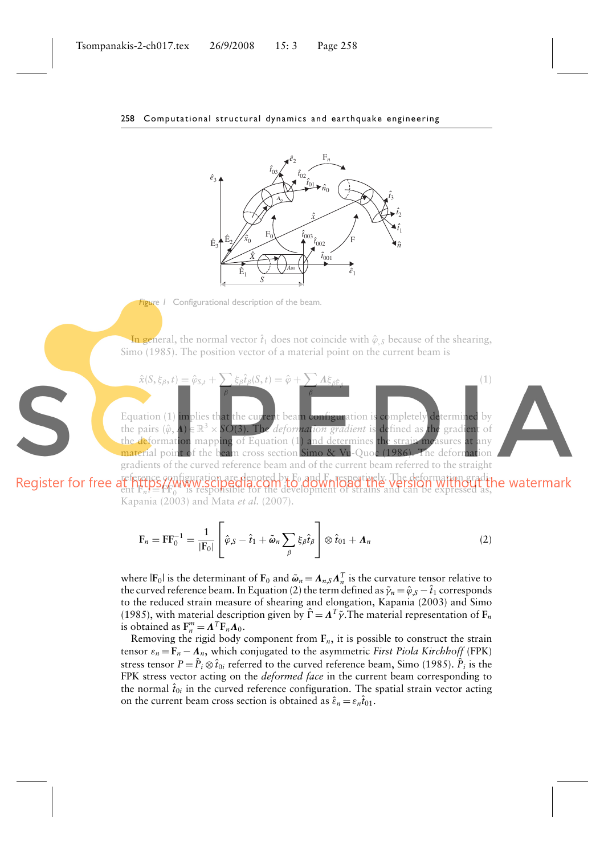



**Figure** *l* Configurational description of the beam.

In general, the normal vector  $\hat{t}_1$  does not coincide with  $\hat{\varphi}_S$  because of the shearing, Simo (1985). The position vector of a material point on the current beam is



Register for free at https://www.scipedia.com/to/download the deformation  $\text{ent } \mathbf{F}_n := \mathbf{F} \mathbf{F}_0$ 0 Kapania (2003) and Mata *et al.* (2007).  $\frac{1}{2}$ អាមេរិយា $\frac{1}{2}$  of  $\frac{1}{2}$  for  $\frac{1}{2}$  of  $\frac{1}{2}$  of  $\frac{1}{2}$  for  $\frac{1}{2}$  of  $\frac{1}{2}$ 

$$
\mathbf{F}_n = \mathbf{F} \mathbf{F}_0^{-1} = \frac{1}{|\mathbf{F}_0|} \left[ \hat{\varphi}_{,S} - \hat{t}_1 + \tilde{\boldsymbol{\omega}}_n \sum_{\beta} \xi_{\beta} \hat{t}_{\beta} \right] \otimes \hat{t}_{01} + \boldsymbol{\Lambda}_n \tag{2}
$$

where  $|F_0|$  is the determinant of  $F_0$  and  $\tilde{\omega}_n = \Lambda_{n,S} \Lambda_n^T$  is the curvature tensor relative to the curved reference beam. In Equation (2) the term defined as  $\tilde{\gamma}_n = \hat{\varphi}_s - \hat{t}_1$  corresponds to the reduced strain measure of shearing and elongation, Kapania (2003) and Simo (1985), with material description given by  $\hat{\Gamma} = \mathbf{\Lambda}^T \tilde{\gamma}$ . The material representation of  $\mathbf{F}_n$ is obtained as  $\mathbf{F}_n^m = \mathbf{\Lambda}^T \mathbf{F}_n \mathbf{\Lambda}_0$ .

Removing the rigid body component from  $F_n$ , it is possible to construct the strain tensor  $\varepsilon_n = \mathbf{F}_n - \mathbf{\Lambda}_n$ , which conjugated to the asymmetric *First Piola Kirchhoff* (FPK) stress tensor  $P = \hat{P}_i \otimes \hat{t}_{0i}$  referred to the curved reference beam, Simo (1985).  $\hat{P}_i$  is the FPK stress vector acting on the *deformed face* in the current beam corresponding to the normal  $\hat{t}_{0i}$  in the curved reference configuration. The spatial strain vector acting on the current beam cross section is obtained as  $\hat{\varepsilon}_n = \varepsilon_n \hat{t}_{01}$ .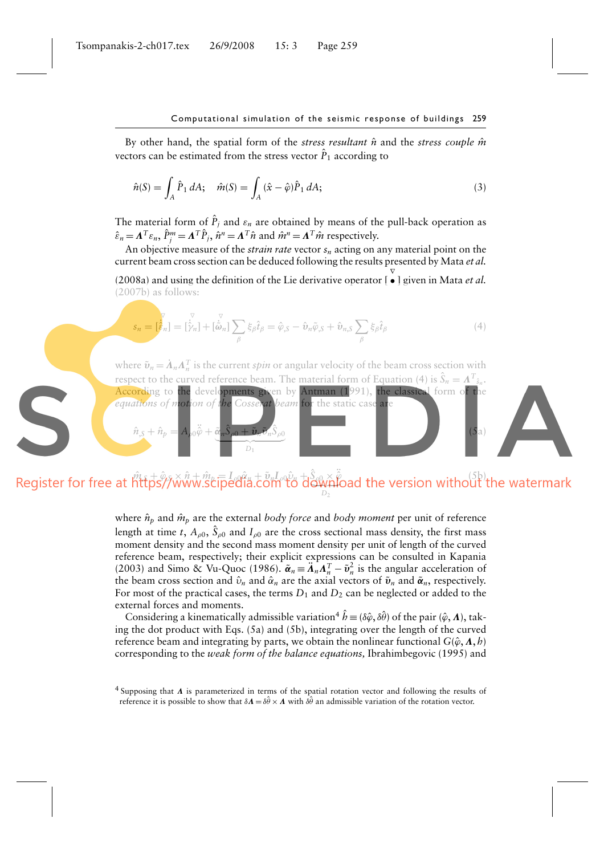$\hat{n}_{,\mathcal{S}}+\hat{n}_{p}=\overline{A}_{p0}\ddot{\hat{\varphi}}+\tilde{\alpha}_{n}\hat{S}_{\rho0}+\tilde{v}_{n}\tilde{v}_{n}\hat{S}_{\rho0}$ 

 $\overline{a}$ *D*<sup>1</sup>

#### Computational simulation of the seismic response of buildings 259

By other hand, the spatial form of the *stress resultant*  $\hat{n}$  and the *stress couple*  $\hat{m}$ vectors can be estimated from the stress vector  $\hat{P}_1$  according to

$$
\hat{n}(S) = \int_{A} \hat{P}_1 dA; \quad \hat{m}(S) = \int_{A} (\hat{x} - \hat{\varphi}) \hat{P}_1 dA; \tag{3}
$$

The material form of  $\hat{P}_j$  and  $\varepsilon_n$  are obtained by means of the pull-back operation as  $\hat{\epsilon}_n = \boldsymbol{\Lambda}^T \epsilon_n$ ,  $\hat{P}_j^m = \boldsymbol{\Lambda}^T \hat{P}_j$ ,  $\hat{n}^n = \boldsymbol{\Lambda}^T \hat{n}$  and  $\hat{m}^n = \boldsymbol{\Lambda}^T \hat{m}$  respectively.

An objective measure of the *strain rate* vector *s<sup>n</sup>* acting on any material point on the current beam cross section can be deduced following the results presented by Mata *et al.*

(2008a) and using the definition of the Lie derivative operator ∇ [ • ] given in Mata *et al.* (2007b) as follows:

$$
\mathbf{s}_n = [\dot{\hat{\mathbf{z}}}_n] = [\dot{\hat{\mathbf{z}}}_n] + [\dot{\hat{\boldsymbol{\omega}}}_n] \sum_{\beta} \xi_{\beta} \hat{\boldsymbol{t}}_{\beta} = \hat{\boldsymbol{\varphi}}_{,\mathbf{S}} - \hat{\boldsymbol{v}}_n \tilde{\boldsymbol{\varphi}}_{,\mathbf{S}} + \hat{\boldsymbol{v}}_{n,\mathbf{S}} \sum_{\beta} \xi_{\beta} \hat{\boldsymbol{t}}_{\beta}
$$
(4)

where  $\tilde{\bm{v}}_n = \dot{\bm{\Lambda}}_n \bm{\Lambda}_n^T$  is the current *spin* or angular velocity of the beam cross section with respect to the curved ref<u>erence beam. The material for</u>m of Equation (4) is  $\hat{S}_n = \underline{A}^T_{\hat{S}_n}$ . According to the developments given by Antman (1991), the classical form of the *equations of motion of the Cosserat beam* for the static case are

(5a)

#### $\hat{p}_{++} + \hat{p}_{3}$  ,  $\hat{p}_{n} + \hat{p}_{2}$  ,  $\hat{p}_{n} = L_{2}$   $\hat{q}_{1}^{2}$   $+ \tilde{p}_{n}$   $\hat{p}_{n}$   $\hat{p}_{n}$   $\hat{p}_{n}$   $\hat{p}_{n}$  $\frac{1}{D}$ *D*<sup>2</sup>  $(5b)$

where  $\hat{n}_p$  and  $\hat{m}_p$  are the external *body force* and *body moment* per unit of reference length at time *t*,  $A_{\rho 0}$ ,  $\hat{S}_{\rho 0}$  and  $I_{\rho 0}$  are the cross sectional mass density, the first mass moment density and the second mass moment density per unit of length of the curved reference beam, respectively; their explicit expressions can be consulted in Kapania (2003) and Simo & Vu-Quoc (1986).  $\tilde{\alpha}_n \equiv \ddot{A}_n A_n^T - \tilde{v}_n^2$  is the angular acceleration of the beam cross section and  $\hat{v}_n$  and  $\hat{\alpha}_n$  are the axial vectors of  $\tilde{v}_n$  and  $\tilde{\alpha}_n$ , respectively. For most of the practical cases, the terms  $D_1$  and  $D_2$  can be neglected or added to the external forces and moments.

Considering a kinematically admissible variation<sup>4</sup>  $\hat{h} \equiv (\delta \hat{\varphi}, \delta \hat{\theta})$  of the pair  $(\hat{\varphi}, \Lambda)$ , taking the dot product with Eqs. (5a) and (5b), integrating over the length of the curved reference beam and integrating by parts, we obtain the nonlinear functional  $G(\hat{\varphi}, \Lambda, h)$ corresponding to the *weak form of the balance equations,* Ibrahimbegovic (1995) and

<sup>&</sup>lt;sup>4</sup> Supposing that  $\Lambda$  is parameterized in terms of the spatial rotation vector and following the results of reference it is possible to show that  $\delta \mathbf{A} = \delta \hat{\theta} \times \mathbf{A}$  with  $\delta \hat{\theta}$  an admissible variation of the rotation vector.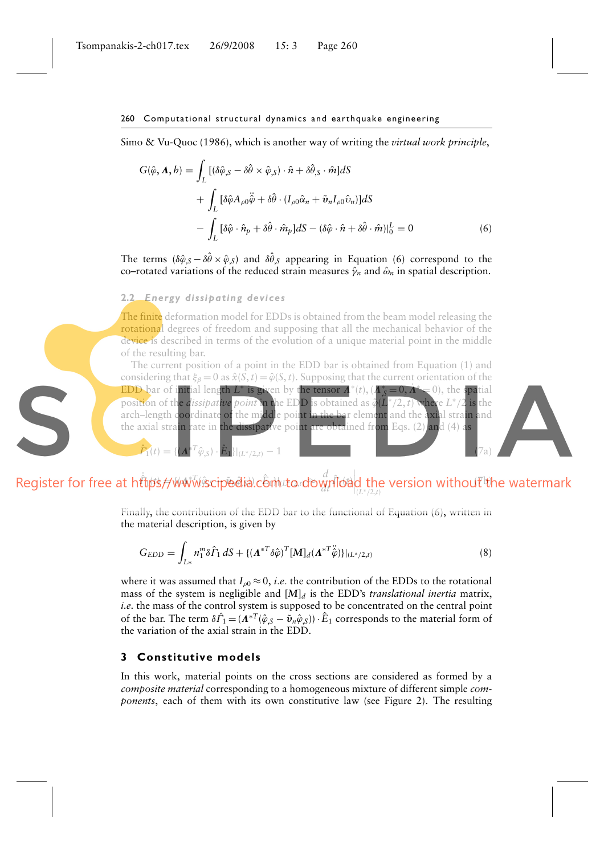Simo & Vu-Quoc (1986), which is another way of writing the *virtual work principle*,

$$
G(\hat{\varphi}, \Lambda, h) = \int_{L} [(\delta \hat{\varphi}, s - \delta \hat{\theta} \times \hat{\varphi}, s) \cdot \hat{n} + \delta \hat{\theta}, s \cdot \hat{m}]dS
$$
  
+ 
$$
\int_{L} [\delta \hat{\varphi} A_{\rho 0} \ddot{\hat{\varphi}} + \delta \hat{\theta} \cdot (I_{\rho 0} \hat{\alpha}_n + \tilde{\nu}_n I_{\rho 0} \hat{\nu}_n)]dS
$$
  
- 
$$
\int_{L} [\delta \hat{\varphi} \cdot \hat{n}_p + \delta \hat{\theta} \cdot \hat{m}_p]dS - (\delta \hat{\varphi} \cdot \hat{n} + \delta \hat{\theta} \cdot \hat{m})|_{0}^{L} = 0
$$
(6)

The terms  $(\delta \hat{\varphi}_s - \delta \hat{\theta} \times \hat{\varphi}_s)$  and  $\delta \hat{\theta}_s$  appearing in Equation (6) correspond to the co–rotated variations of the reduced strain measures  $\hat{\gamma}_n$  and  $\hat{\omega}_n$  in spatial description.

### **2.2** *Energy dissipating devices*

The finite deformation model for EDDs is obtained from the beam model releasing the rotational degrees of freedom and supposing that all the mechanical behavior of the device is described in terms of the evolution of a unique material point in the middle of the resulting bar.

The current position of a point in the EDD bar is obtained from Equation (1) and considering that  $\xi_{\beta} = 0$  as  $\hat{x}(S, t) = \hat{\varphi}(S, t)$ . Supposing that the current orientation of the **EDD** bar of initial length  $L^*$  is given by the tensor  $\Lambda^*(t)$ ,  $(\Lambda^*)$  $\epsilon$  = 0), the **spa**tial position of the *dissipative point* in the EDD is obtained as  $\hat{\varphi}(L^*)$ /2, *t*) where *L* ∗ /2 is the arch–length coordinate of the middle point in the bar element and the axial strain and the axial stra<mark>in r</mark>ate in the dissipative point are obtained from Eqs. (2) and (4) as



#### $\hat{\hat{\mathbf{t}}}$ tps://www.scipedia.com.to.dow/ntoa  $d$  the (7b)

Finally, the contribution of the EDD bar to the functional of Equation (6), written in the material description, is given by

$$
G_{EDD} = \int_{L*} n_1^m \delta \hat{\Gamma}_1 dS + \{ (\boldsymbol{\Lambda}^{*T} \delta \hat{\boldsymbol{\varphi}})^T [\boldsymbol{M}]_d (\boldsymbol{\Lambda}^{*T} \ddot{\hat{\boldsymbol{\varphi}}}) \} |_{(L* / 2, t)}
$$
(8)

where it was assumed that  $I_{\rho 0} \approx 0$ , *i.e.* the contribution of the EDDs to the rotational mass of the system is negligible and [*M*]*<sup>d</sup>* is the EDD's *translational inertia* matrix, *i.e.* the mass of the control system is supposed to be concentrated on the central point of the bar. The term  $\delta \hat{\Gamma_1} = (\bm{\Lambda}^{*T}(\hat{\varphi}_{,S} - \tilde{\bm{v}}_n\hat{\varphi}_{,S})) \cdot \hat{E}_1$  corresponds to the material form of the variation of the axial strain in the EDD.

### **3 Constitutive models**

In this work, material points on the cross sections are considered as formed by a *composite material* corresponding to a homogeneous mixture of different simple *components*, each of them with its own constitutive law (see Figure 2). The resulting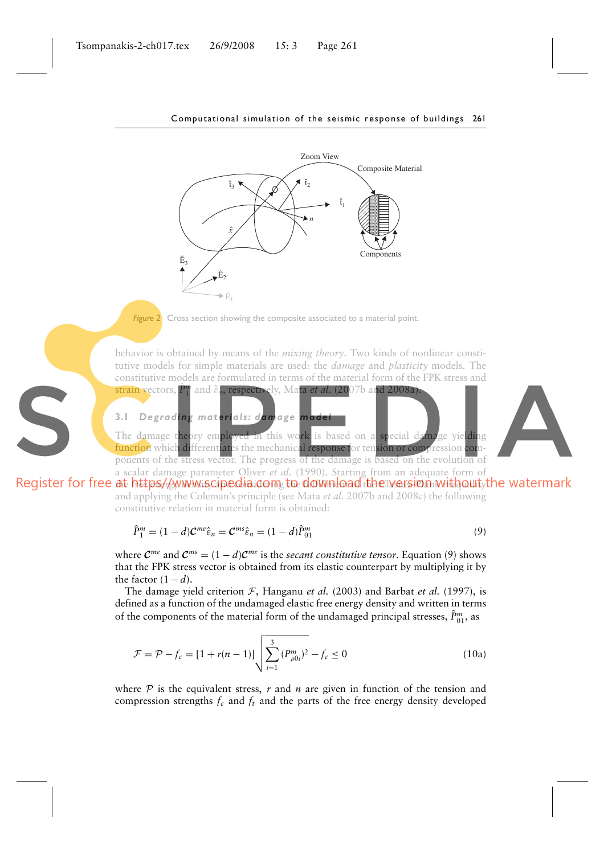



*Figure 2* Cross section showing the composite associated to a material point.

behavior is obtained by means of the *mixing theory*. Two kinds of nonlinear constitutive models for simple materials are used: the *damage* and *plasticity* models. The constitutive models are formulated in terms of the material form of the FPK stress and strain vectors, *P*ˆ *<sup>m</sup>* 1 and εˆ*n*, respectively, Mata *et al.* (2007b and 2008a).

**3.1** *Degrading materials: damage model*

The damage theory employed in this work is based on a special damage yielding function which differentiates the mechanical response for tension or compression components of the stress vector. The progress of the damage is based on the evolution of a scalar damage parameter Oliver *et al.* (1990). Starting from an adequate form of

Register for free at https//www.scipedia.com to download the version without, the watermark and applying the Coleman's principle (see Mata *et al.* 2007b and 2008c) the following constitutive relation in material form is obtained:

$$
\hat{P}_1^m = (1-d)\mathcal{C}^{me}\hat{\varepsilon}_n = \mathcal{C}^{ms}\hat{\varepsilon}_n = (1-d)\hat{P}_{01}^m
$$
\n(9)

where  $C^{me}$  and  $C^{ms} = (1 - d)C^{me}$  is the *secant constitutive tensor*. Equation (9) shows that the FPK stress vector is obtained from its elastic counterpart by multiplying it by the factor  $(1 - d)$ .

The damage yield criterion F, Hanganu *et al.* (2003) and Barbat *et al.* (1997), is defined as a function of the undamaged elastic free energy density and written in terms of the components of the material form of the undamaged principal stresses,  $\hat{P}_{01}^m$ , as

$$
\mathcal{F} = \mathcal{P} - f_c = [1 + r(n-1)] \sqrt{\sum_{i=1}^{3} (P_{\rho 0i}^{m})^2} - f_c \le 0
$$
\n(10a)

where  $P$  is the equivalent stress,  $r$  and  $n$  are given in function of the tension and compression strengths  $f_c$  and  $f_t$  and the parts of the free energy density developed

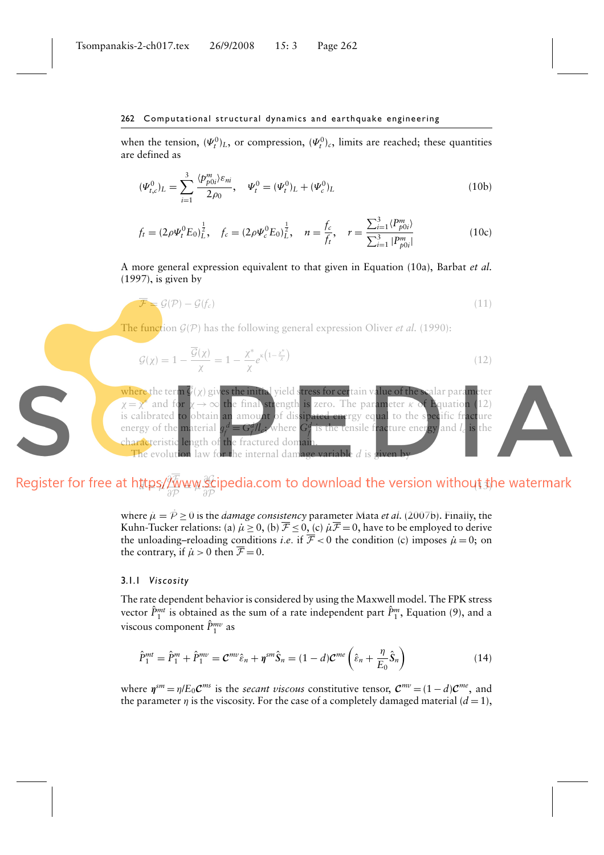when the tension,  $(\Psi_t^0)_L$ , or compression,  $(\Psi_t^0)_c$ , limits are reached; these quantities are defined as

$$
(\Psi_{t,c}^0)_L = \sum_{i=1}^3 \frac{\langle p_{p0i}^m \rangle \varepsilon_{ni}}{2\rho_0}, \quad \Psi_t^0 = (\Psi_t^0)_L + (\Psi_c^0)_L \tag{10b}
$$

$$
f_t = (2\rho \Psi_t^0 E_0)_L^{\frac{1}{2}}, \quad f_c = (2\rho \Psi_c^0 E_0)_L^{\frac{1}{2}}, \quad n = \frac{f_c}{f_t}, \quad r = \frac{\sum_{i=1}^3 \langle P_{p0i}^m \rangle}{\sum_{i=1}^3 |P_{p0i}^m|}
$$
(10c)

A more general expression equivalent to that given in Equation (10a), Barbat *et al.* (1997), is given by

$$
\mathcal{F} = \mathcal{G}(\mathcal{P}) - \mathcal{G}(f_c) \tag{11}
$$

The function  $G(\mathcal{P})$  has the following general expression Oliver *et al.* (1990):

$$
\mathcal{G}(\chi) = 1 - \frac{\overline{\mathcal{G}}(\chi)}{\chi} = 1 - \frac{\chi^*}{\chi} e^{\kappa \left(1 - \frac{\chi^*}{\chi}\right)}\tag{12}
$$



#### ˙*d* = ˙µ ∂F <u></u>∂Ä∿ww.<del>SE</del> <u>sc</u>ipedia.com to download the version withoq∰})<br>∂P

where  $\mu = \mathcal{P} \ge 0$  is the *damage consistency* parameter Mata *et al.* (2007b). Finally, the Kuhn-Tucker relations: (a)  $\mu \ge 0$ , (b)  $\overline{\mathcal{F}} \le 0$ , (c)  $\mu \overline{\mathcal{F}} = 0$ , have to be employed to derive the unloading–reloading conditions *i.e.* if  $\overline{\mathcal{F}}$  < 0 the condition (c) imposes  $\mu = 0$ ; on the contrary, if  $\dot{\mu} > 0$  then  $\overline{\mathcal{F}} = 0$ .

### 3.1.1 *Viscosity*

The rate dependent behavior is considered by using the Maxwell model. The FPK stress vector  $\hat{P}^{mt}_1$  is obtained as the sum of a rate independent part  $\hat{P}^{m}_1$ , Equation (9), and a viscous component  $\hat{P}^{mv}_1$  as

$$
\hat{P}_1^{mt} = \hat{P}_1^m + \hat{P}_1^{mv} = \mathcal{C}^{mv}\hat{\varepsilon}_n + \eta^{sm}\hat{S}_n = (1-d)\mathcal{C}^{me}\left(\hat{\varepsilon}_n + \frac{\eta}{E_0}\hat{S}_n\right)
$$
(14)

where  $\eta^{sm} = \eta/E_0C^{ms}$  is the *secant viscous* constitutive tensor,  $C^{mv} = (1 - d)C^{me}$ , and the parameter  $\eta$  is the viscosity. For the case of a completely damaged material  $(d=1)$ ,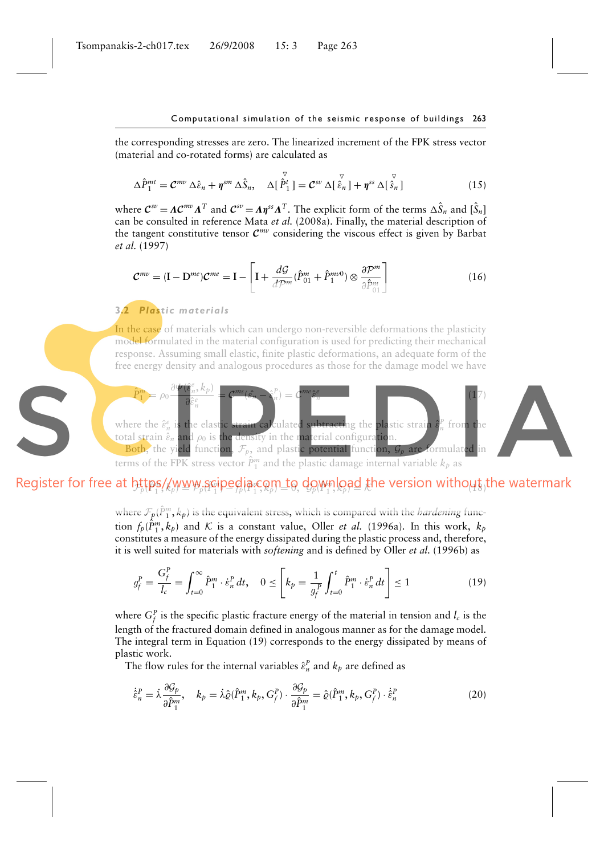the corresponding stresses are zero. The linearized increment of the FPK stress vector (material and co-rotated forms) are calculated as

$$
\Delta \hat{P}_1^{mt} = \mathcal{C}^{mv} \Delta \hat{\varepsilon}_n + \eta^{sm} \Delta \hat{S}_n, \quad \Delta[\hat{P}_1^t] = \mathcal{C}^{sv} \Delta[\hat{\varepsilon}_n] + \eta^{ss} \Delta[\hat{S}_n]
$$
\n(15)

where  $C^{sv} = AC^{mv}A^T$  and  $C^{sv} = A\eta^{ss}A^T$ . The explicit form of the terms  $\Delta \hat{S}_n$  and  $[\hat{S}_n]$ can be consulted in reference Mata *et al.* (2008a). Finally, the material description of the tangent constitutive tensor  $C^{mv}$  considering the viscous effect is given by Barbat *et al.* (1997)

$$
\mathcal{C}^{mv} = (\mathbf{I} - \mathbf{D}^{me})\mathcal{C}^{me} = \mathbf{I} - \left[\mathbf{I} + \frac{d\mathcal{G}}{d\mathcal{P}^m}(\hat{P}_{01}^m + \hat{P}_1^{mv0}) \otimes \frac{\partial \mathcal{P}^m}{\partial \hat{P}_{01}^m}\right]
$$
(16)

### **3.2** *Plastic materials*

In the case of materials which can undergo non-reversible deformations the plasticity model formulated in the material configuration is used for predicting their mechanical response. Assuming small elastic, finite plastic deformations, an adequate form of the free energy density and analogous procedures as those for the damage model we have



# $\mathcal{H}^{\text{tr}}_{p}(\mathbf{P}_{1}^{s},k_{p}) = \mathcal{H}_{p}(\mathbf{P}_{1}^{s},\mathbf{E}_{p}) = \mathcal{H}_{p}(\mathbf{P}_{1}^{s},k_{p}) = 0, \ \mathcal{H}_{p}(\mathbf{P}_{1}^{s},k_{p}) = 0$

where  $\mathcal{F}_p(\hat{P}^m_1,k_p)$  is the equivalent stress, which is compared with the *hardening* function  $f_p(\hat{P}_1^m, k_p)$  and K is a constant value, Oller *et al.* (1996a). In this work,  $k_p$ constitutes a measure of the energy dissipated during the plastic process and, therefore, it is well suited for materials with *softening* and is defined by Oller *et al.* (1996b) as

$$
g_f^P = \frac{G_f^P}{l_c} = \int_{t=0}^{\infty} \hat{P}_1^m \cdot \dot{\varepsilon}_n^P dt, \quad 0 \le \left[ k_p = \frac{1}{g_f^P} \int_{t=0}^t \hat{P}_1^m \cdot \dot{\varepsilon}_n^P dt \right] \le 1
$$
 (19)

where  $G_f^P$  is the specific plastic fracture energy of the material in tension and  $l_c$  is the length of the fractured domain defined in analogous manner as for the damage model. The integral term in Equation (19) corresponds to the energy dissipated by means of plastic work.

The flow rules for the internal variables  $\hat{\epsilon}_n^P$  and  $k_p$  are defined as

$$
\dot{\hat{\epsilon}}_n^P = \dot{\lambda} \frac{\partial \mathcal{G}_p}{\partial \hat{P}_1^m}, \quad k_p = \dot{\lambda} \hat{\varrho} (\hat{P}_1^m, k_p, G_f^P) \cdot \frac{\partial \mathcal{G}_p}{\partial \hat{P}_1^m} = \hat{\varrho} (\hat{P}_1^m, k_p, G_f^P) \cdot \dot{\hat{\epsilon}}_n^P
$$
(20)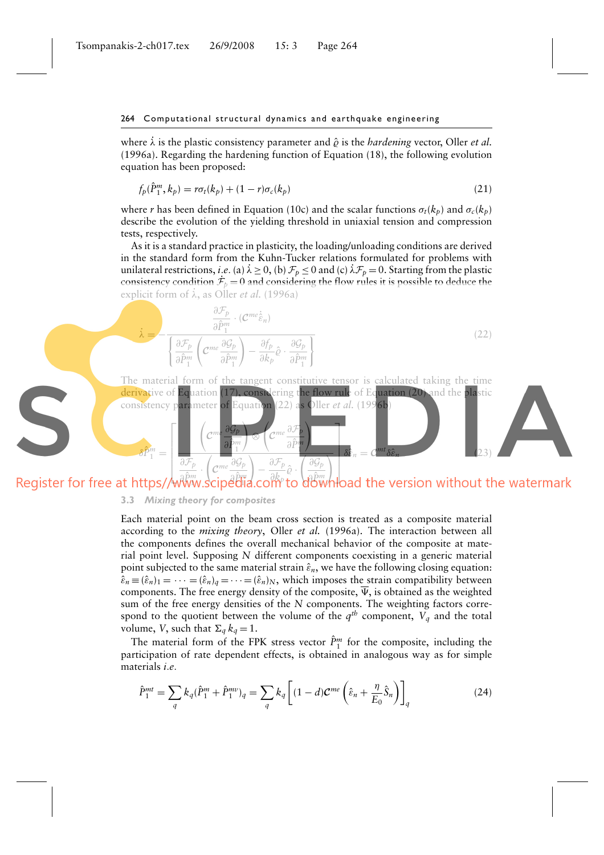where  $\lambda$  is the plastic consistency parameter and  $\hat{\rho}$  is the *hardening* vector, Oller *et al.* (1996a). Regarding the hardening function of Equation (18), the following evolution equation has been proposed:

$$
f_p(\hat{P}_1^m, k_p) = r\sigma_t(k_p) + (1 - r)\sigma_c(k_p)
$$
\n(21)

where *r* has been defined in Equation (10c) and the scalar functions  $\sigma_t(k_p)$  and  $\sigma_c(k_p)$ describe the evolution of the yielding threshold in uniaxial tension and compression tests, respectively.

As it is a standard practice in plasticity, the loading/unloading conditions are derived in the standard form from the Kuhn-Tucker relations formulated for problems with unilateral restrictions, *i.e.* (a)  $\lambda \ge 0$ , (b)  $\mathcal{F}_p \le 0$  and (c)  $\lambda \mathcal{F}_p = 0$ . Starting from the plastic consistency condition  $\dot{\mathcal{F}}_{\dot{p}}=0$  and considering the flow rules it is possible to deduce the explicit form of  $\lambda$ , as Oller *et al.* (1996a)



 $\hat{\theta}$ *Pm*  $\hat{\theta}$  scipe  $\hat{\theta}$  and  $\hat{\theta}$  and  $\hat{\theta}$  and  $\hat{\theta}$  are  $\hat{\theta}$  and  $\hat{\theta}$  are  $\hat{\theta}$  and  $\hat{\theta}$  are  $\hat{\theta}$  and  $\hat{\theta}$  are  $\hat{\theta}$  and  $\hat{\theta}$  are  $\hat{\theta}$  and  $\hat{\theta}$  are  $\hat{\theta}$  and  $\hat{\theta}$  are  $\hat$ **∂**∂m

### **3.3** *Mixing theory for composites*

Each material point on the beam cross section is treated as a composite material according to the *mixing theory*, Oller *et al.* (1996a). The interaction between all the components defines the overall mechanical behavior of the composite at material point level. Supposing *N* different components coexisting in a generic material point subjected to the same material strain  $\hat{\varepsilon}_n$ , we have the following closing equation:  $\hat{\epsilon}_n \equiv (\hat{\epsilon}_n)_1 = \cdots = (\hat{\epsilon}_n)_q = \cdots = (\hat{\epsilon}_n)_N$ , which imposes the strain compatibility between components. The free energy density of the composite,  $\overline{\Psi}$ , is obtained as the weighted sum of the free energy densities of the *N* components. The weighting factors correspond to the quotient between the volume of the  $q^{th}$  component,  $V_q$  and the total volume, *V*, such that  $\Sigma_q k_q = 1$ .

The material form of the FPK stress vector  $\hat{P}^m_1$  for the composite, including the participation of rate dependent effects, is obtained in analogous way as for simple materials *i*.*e*.

$$
\hat{P}_1^{mt} = \sum_q k_q (\hat{P}_1^m + \hat{P}_1^{mv})_q = \sum_q k_q \left[ (1-d)\mathcal{C}^{me} \left( \hat{\varepsilon}_n + \frac{\eta}{E_0} \hat{S}_n \right) \right]_q \tag{24}
$$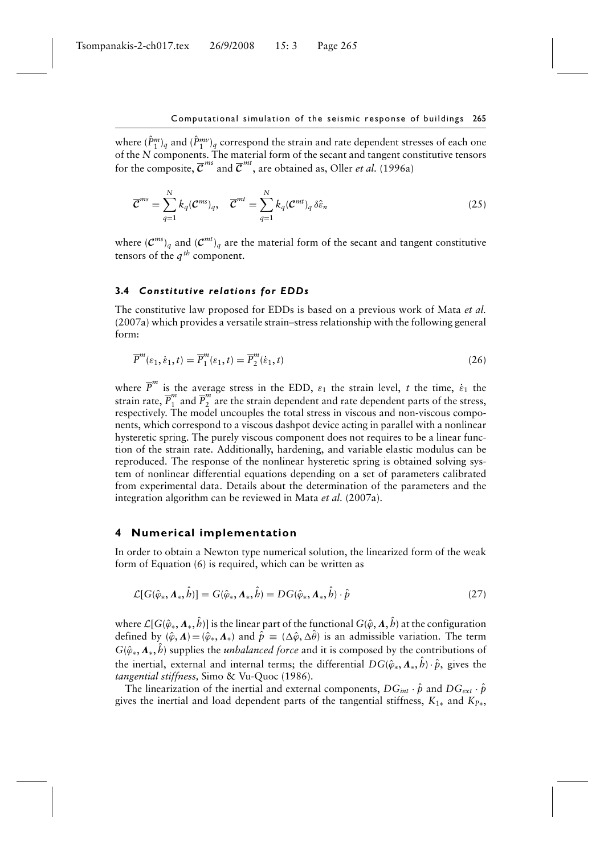where  $(\hat{P}^{m}_{1})_q$  and  $(\hat{P}^{m\nu}_{1})_q$  correspond the strain and rate dependent stresses of each one of the *N* components. The material form of the secant and tangent constitutive tensors for the composite,  $\overline{C}^{ms}$  and  $\overline{C}^{mt}$ , are obtained as, Oller *et al.* (1996a)

$$
\overline{\mathcal{C}}^{ms} = \sum_{q=1}^{N} k_q (\mathcal{C}^{ms})_q, \quad \overline{\mathcal{C}}^{mt} = \sum_{q=1}^{N} k_q (\mathcal{C}^{mt})_q \, \delta \hat{\varepsilon}_n \tag{25}
$$

where  $(C^{ms})_q$  and  $(C^{mt})_q$  are the material form of the secant and tangent constitutive tensors of the  $q^{th}$  component.

### **3.4** *Constitutive relations for EDDs*

The constitutive law proposed for EDDs is based on a previous work of Mata *et al.* (2007a) which provides a versatile strain–stress relationship with the following general form:

$$
\overline{P}^m(\varepsilon_1, \dot{\varepsilon}_1, t) = \overline{P}_1^m(\varepsilon_1, t) = \overline{P}_2^m(\dot{\varepsilon}_1, t)
$$
\n(26)

where  $\overline{P}^m$  is the average stress in the EDD,  $\varepsilon_1$  the strain level, *t* the time,  $\dot{\varepsilon}_1$  the strain rate, *P m*  $\frac{m}{1}$  and  $\overline{P}^m_2$  $\frac{m}{2}$  are the strain dependent and rate dependent parts of the stress, respectively. The model uncouples the total stress in viscous and non-viscous components, which correspond to a viscous dashpot device acting in parallel with a nonlinear hysteretic spring. The purely viscous component does not requires to be a linear function of the strain rate. Additionally, hardening, and variable elastic modulus can be reproduced. The response of the nonlinear hysteretic spring is obtained solving system of nonlinear differential equations depending on a set of parameters calibrated from experimental data. Details about the determination of the parameters and the integration algorithm can be reviewed in Mata *et al.* (2007a).

### **4 Numerical implementation**

In order to obtain a Newton type numerical solution, the linearized form of the weak form of Equation (6) is required, which can be written as

$$
\mathcal{L}[G(\hat{\varphi}_*, \Lambda_*, \hat{h})] = G(\hat{\varphi}_*, \Lambda_*, \hat{h}) = DG(\hat{\varphi}_*, \Lambda_*, \hat{h}) \cdot \hat{p}
$$
\n(27)

where L[G(φ<sub>\*</sub>, Λ<sub>\*</sub>, ĥ)] is the linear part of the functional G(φ̂, Λ, ĥ) at the configuration defined by  $(\hat{\varphi}, \Lambda) = (\hat{\varphi}_*, \Lambda_*)$  and  $\hat{p} \equiv (\Delta \hat{\varphi}, \Delta \hat{\theta})$  is an admissible variation. The term  $G(\hat{\varphi}_*, \Lambda_*, \hat{h})$  supplies the *unbalanced force* and it is composed by the contributions of the inertial, external and internal terms; the differential  $DG(\hat{\varphi}_*, \bm{\Lambda}_*, \hat{b}) \cdot \hat{p},$  gives the *tangential stiffness,* Simo & Vu-Quoc (1986).

The linearization of the inertial and external components,  $DG_{int} \cdot \hat{p}$  and  $DG_{ext} \cdot \hat{p}$ gives the inertial and load dependent parts of the tangential stiffness, *K*1<sup>∗</sup> and *KP*<sup>∗</sup>,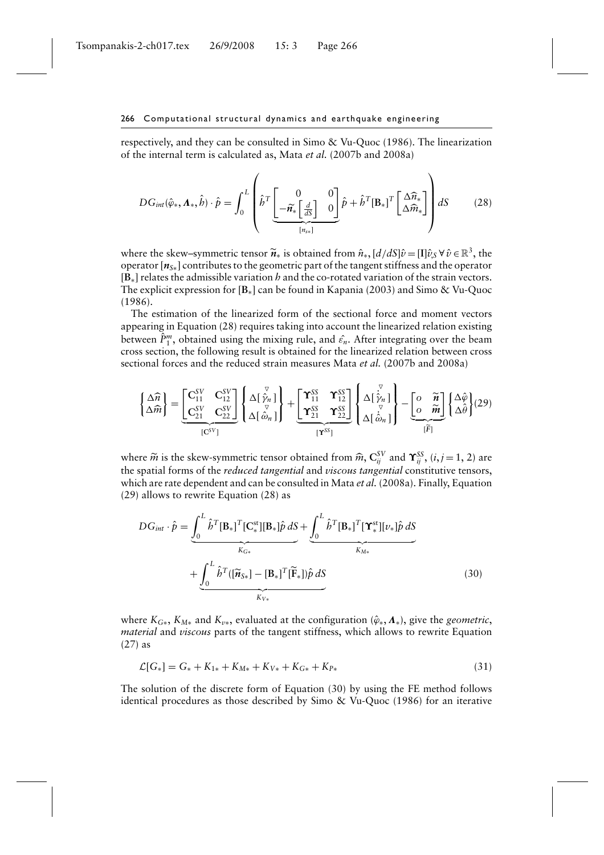respectively, and they can be consulted in Simo & Vu-Quoc (1986). The linearization of the internal term is calculated as, Mata *et al.* (2007b and 2008a)

$$
DG_{int}(\hat{\varphi}_*, \Lambda_*, \hat{b}) \cdot \hat{p} = \int_0^L \left( \hat{b}^T \underbrace{\begin{bmatrix} 0 & 0 \\ -\hat{\pi_*} \underbrace{\begin{bmatrix} d \\ d \end{bmatrix} \end{bmatrix}^0} \hat{p} + \hat{b}^T [\mathbf{B}_*]^T \begin{bmatrix} \Delta \hat{n}_* \\ \Delta \hat{m}_* \end{bmatrix}}_{[n_{s*}]} dS \qquad (28)
$$

where the skew–symmetric tensor  $\widetilde{n}_*$  is obtained from  $\hat{n}_*, [d/dS]\hat{\nu} = [\mathbf{I}]\hat{\nu}_s \forall \hat{\nu} \in \mathbb{R}^3$ , the operator  $[n_{S*}]$  contributes to the geometric part of the tangent stiffness and the operator [**B**∗] relates the admissible variation *h* and the co-rotated variation of the strain vectors. The explicit expression for [**B**∗] can be found in Kapania (2003) and Simo & Vu-Quoc (1986).

The estimation of the linearized form of the sectional force and moment vectors appearing in Equation (28) requires taking into account the linearized relation existing between  $\hat{P}^{m}_{1}$ , obtained using the mixing rule, and  $\hat{\varepsilon_{n}}$ . After integrating over the beam cross section, the following result is obtained for the linearized relation between cross sectional forces and the reduced strain measures Mata *et al.* (2007b and 2008a)

$$
\left\{\Delta\widehat{n}\atop \Delta\widehat{m}\right\} = \underbrace{\begin{bmatrix} \mathbf{C}_{11}^{SV} & \mathbf{C}_{12}^{SV} \\ \mathbf{C}_{21}^{SV} & \mathbf{C}_{22}^{SV} \end{bmatrix}}_{[\mathbf{C}^{SV}]}\left\{\Delta\begin{bmatrix} \widehat{\gamma}_{n} \\ \Delta\begin{bmatrix} \widehat{\omega}_{n} \\ \widehat{\omega}_{n} \end{bmatrix}\right\} + \begin{bmatrix} \mathbf{\widehat{\gamma}}_{11}^{SS} & \mathbf{\widehat{\gamma}}_{12}^{SS} \\ \mathbf{\widehat{\gamma}}_{21}^{SS} & \mathbf{\widehat{\gamma}}_{22}^{SS} \end{bmatrix}\left\{\Delta\begin{bmatrix} \widehat{\gamma}_{n} \\ \widehat{\omega}_{n} \end{bmatrix}\right\} - \underbrace{\begin{bmatrix} \mathbf{0} & \widetilde{n} \\ \mathbf{0} & \widetilde{m} \end{bmatrix}}_{[\widetilde{F}]} \left\{\Delta\widehat{\theta}\right\} (29)
$$

where  $\widetilde{m}$  is the skew-symmetric tensor obtained from  $\widehat{m}$ ,  $\mathbf{C}_{ij}^{SV}$  and  $\mathbf{\Upsilon}_{ij}^{SS}$ ,  $(i, j = 1, 2)$  are the spatial forms of the *reduced tangential* and *viscous tangential* constitutive tensors, which are rate dependent and can be consulted in Mata *et al.* (2008a). Finally, Equation (29) allows to rewrite Equation (28) as

$$
DG_{int} \cdot \hat{p} = \underbrace{\int_{0}^{L} \hat{b}^{T} [\mathbf{B}_{*}]^{T} [\mathbf{C}_{*}^{\text{st}}] [\mathbf{B}_{*}] \hat{p} dS}_{K_{G*}} + \underbrace{\int_{0}^{L} \hat{b}^{T} [\mathbf{B}_{*}]^{T} [\mathbf{\hat{T}}_{*}^{\text{st}}] [\nu_{*}] \hat{p} dS}_{K_{M*}} + \underbrace{\int_{0}^{L} \hat{b}^{T} ([\widetilde{\mathbf{n}}_{S*}] - [\mathbf{B}_{*}]^{T} [\widetilde{\mathbf{F}}_{*}] ) \hat{p} dS}_{K_{V*}}
$$
(30)

where  $K_{G*}$ ,  $K_{M*}$  and  $K_{\nu*}$ , evaluated at the configuration  $(\hat{\varphi}_*, \Lambda_*)$ , give the *geometric*, *material* and *viscous* parts of the tangent stiffness, which allows to rewrite Equation (27) as

$$
\mathcal{L}[G_*] = G_* + K_{1*} + K_{M*} + K_{V*} + K_{G*} + K_{P*}
$$
\n(31)

The solution of the discrete form of Equation (30) by using the FE method follows identical procedures as those described by Simo & Vu-Quoc (1986) for an iterative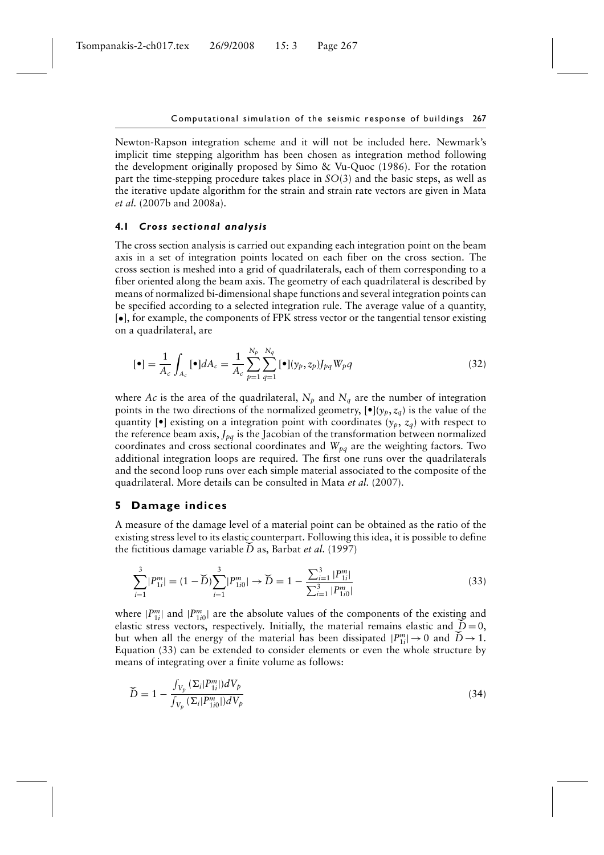Newton-Rapson integration scheme and it will not be included here. Newmark's implicit time stepping algorithm has been chosen as integration method following the development originally proposed by Simo & Vu-Quoc (1986). For the rotation part the time-stepping procedure takes place in *SO*(3) and the basic steps, as well as the iterative update algorithm for the strain and strain rate vectors are given in Mata *et al.* (2007b and 2008a).

### **4.1** *Cross sectional analysis*

The cross section analysis is carried out expanding each integration point on the beam axis in a set of integration points located on each fiber on the cross section. The cross section is meshed into a grid of quadrilaterals, each of them corresponding to a fiber oriented along the beam axis. The geometry of each quadrilateral is described by means of normalized bi-dimensional shape functions and several integration points can be specified according to a selected integration rule. The average value of a quantity, [•], for example, the components of FPK stress vector or the tangential tensor existing on a quadrilateral, are

$$
[\bullet] = \frac{1}{A_c} \int_{A_c} [\bullet] dA_c = \frac{1}{A_c} \sum_{p=1}^{N_p} \sum_{q=1}^{N_q} [\bullet] (y_p, z_p) J_{pq} W_p q
$$
(32)

where *Ac* is the area of the quadrilateral,  $N_p$  and  $N_q$  are the number of integration points in the two directions of the normalized geometry,  $[\bullet] (y_p, z_q)$  is the value of the quantity  $[\bullet]$  existing on a integration point with coordinates  $(y_p, z_q)$  with respect to the reference beam axis,  $J_{pq}$  is the Jacobian of the transformation between normalized coordinates and cross sectional coordinates and *Wpq* are the weighting factors. Two additional integration loops are required. The first one runs over the quadrilaterals and the second loop runs over each simple material associated to the composite of the quadrilateral. More details can be consulted in Mata *et al.* (2007).

### **5 Damage indices**

A measure of the damage level of a material point can be obtained as the ratio of the existing stress level to its elastic counterpart. Following this idea, it is possible to define the fictitious damage variable *D* as, Barbat *et al.* (1997)

$$
\sum_{i=1}^{3} |P_{1i}^{m}| = (1 - \widetilde{D}) \sum_{i=1}^{3} |P_{1i0}^{m}| \rightarrow \widetilde{D} = 1 - \frac{\sum_{i=1}^{3} |P_{1i}^{m}|}{\sum_{i=1}^{3} |P_{1i0}^{m}|}
$$
(33)

where  $|P_{1i}^m|$  and  $|P_{1i0}^m|$  are the absolute values of the components of the existing and elastic stress vectors, respectively. Initially, the material remains elastic and  $\dot{D} = 0$ , but when all the energy of the material has been dissipated  $|P_{1i}^m| \to 0$  and  $\check{D} \to 1$ . Equation (33) can be extended to consider elements or even the whole structure by means of integrating over a finite volume as follows:

$$
\widetilde{D} = 1 - \frac{\int_{V_p} (\Sigma_i | P_{1i}^m|) dV_p}{\int_{V_p} (\Sigma_i | P_{1i0}^m|) dV_p}
$$
\n(34)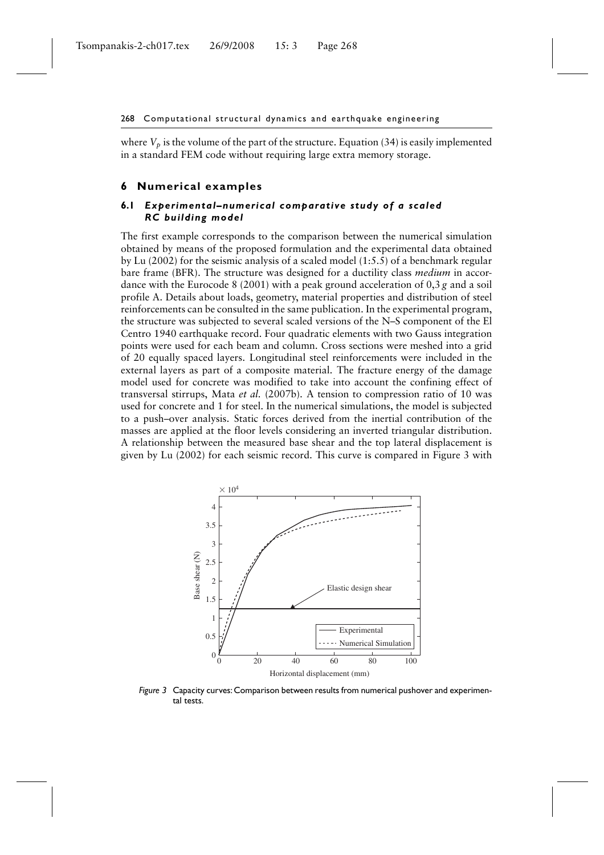where  $V_p$  is the volume of the part of the structure. Equation (34) is easily implemented in a standard FEM code without requiring large extra memory storage.

### **6 Numerical examples**

### **6.1** *Experimental–numerical comparative study of a scaled RC building model*

The first example corresponds to the comparison between the numerical simulation obtained by means of the proposed formulation and the experimental data obtained by Lu (2002) for the seismic analysis of a scaled model (1:5.5) of a benchmark regular bare frame (BFR). The structure was designed for a ductility class *medium* in accordance with the Eurocode 8 (2001) with a peak ground acceleration of 0,3 *g* and a soil profile A. Details about loads, geometry, material properties and distribution of steel reinforcements can be consulted in the same publication. In the experimental program, the structure was subjected to several scaled versions of the N–S component of the El Centro 1940 earthquake record. Four quadratic elements with two Gauss integration points were used for each beam and column. Cross sections were meshed into a grid of 20 equally spaced layers. Longitudinal steel reinforcements were included in the external layers as part of a composite material. The fracture energy of the damage model used for concrete was modified to take into account the confining effect of transversal stirrups, Mata *et al.* (2007b). A tension to compression ratio of 10 was used for concrete and 1 for steel. In the numerical simulations, the model is subjected to a push–over analysis. Static forces derived from the inertial contribution of the masses are applied at the floor levels considering an inverted triangular distribution. A relationship between the measured base shear and the top lateral displacement is given by Lu (2002) for each seismic record. This curve is compared in Figure 3 with



*Figure 3* Capacity curves:Comparison between results from numerical pushover and experimental tests.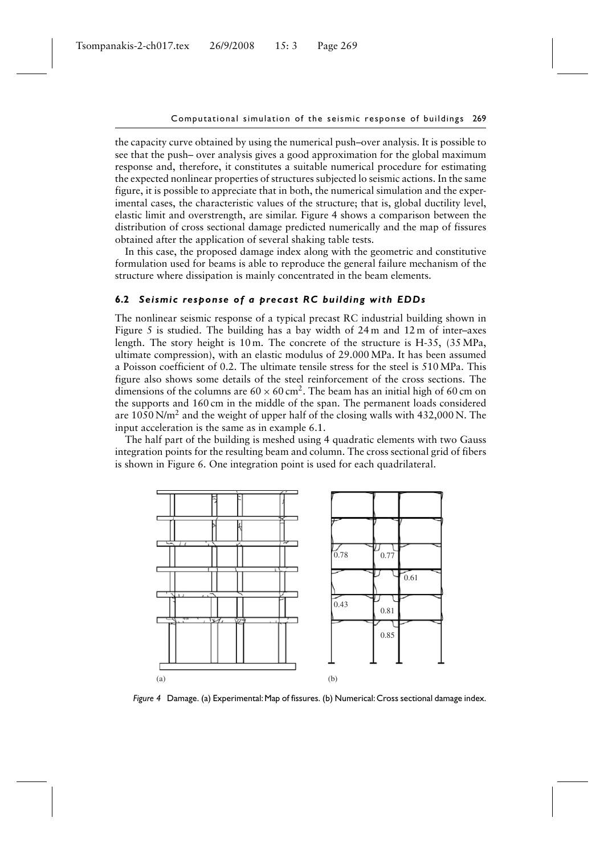the capacity curve obtained by using the numerical push–over analysis. It is possible to see that the push– over analysis gives a good approximation for the global maximum response and, therefore, it constitutes a suitable numerical procedure for estimating the expected nonlinear properties of structures subjected lo seismic actions. In the same figure, it is possible to appreciate that in both, the numerical simulation and the experimental cases, the characteristic values of the structure; that is, global ductility level, elastic limit and overstrength, are similar. Figure 4 shows a comparison between the distribution of cross sectional damage predicted numerically and the map of fissures obtained after the application of several shaking table tests.

In this case, the proposed damage index along with the geometric and constitutive formulation used for beams is able to reproduce the general failure mechanism of the structure where dissipation is mainly concentrated in the beam elements.

### **6.2** *Seismic response of a precast RC building with EDDs*

The nonlinear seismic response of a typical precast RC industrial building shown in Figure 5 is studied. The building has a bay width of 24 m and 12 m of inter–axes length. The story height is 10 m. The concrete of the structure is H-35, (35 MPa, ultimate compression), with an elastic modulus of 29.000 MPa. It has been assumed a Poisson coefficient of 0.2. The ultimate tensile stress for the steel is 510 MPa. This figure also shows some details of the steel reinforcement of the cross sections. The dimensions of the columns are  $60 \times 60 \text{ cm}^2$ . The beam has an initial high of 60 cm on the supports and 160 cm in the middle of the span. The permanent loads considered are 1050 N/m<sup>2</sup> and the weight of upper half of the closing walls with 432,000 N. The input acceleration is the same as in example 6.1.

The half part of the building is meshed using 4 quadratic elements with two Gauss integration points for the resulting beam and column. The cross sectional grid of fibers is shown in Figure 6. One integration point is used for each quadrilateral.



*Figure 4* Damage. (a) Experimental:Map of fissures. (b) Numerical:Cross sectional damage index.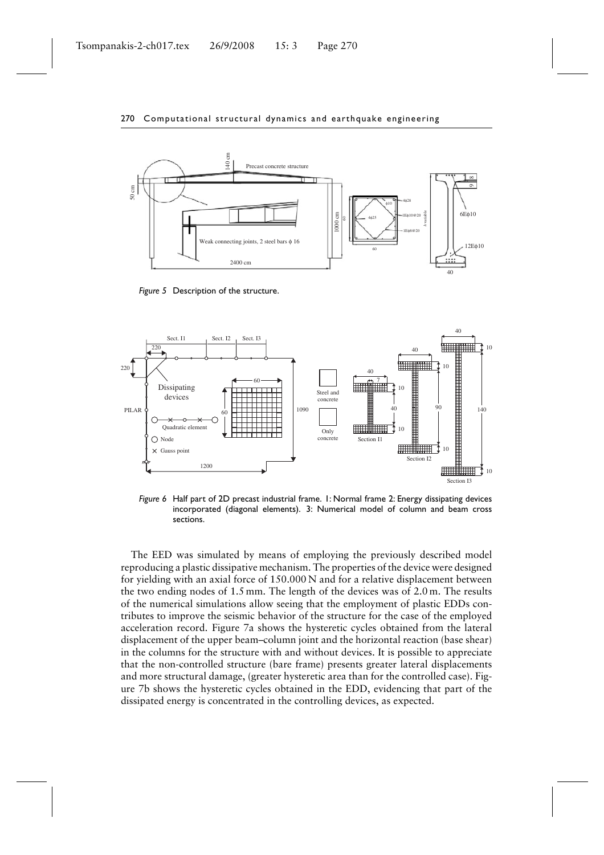

*Figure 5* Description of the structure.



*Figure 6* Half part of 2D precast industrial frame. 1: Normal frame 2: Energy dissipating devices incorporated (diagonal elements). 3: Numerical model of column and beam cross sections.

The EED was simulated by means of employing the previously described model reproducing a plastic dissipative mechanism. The properties of the device were designed for yielding with an axial force of 150.000 N and for a relative displacement between the two ending nodes of 1.5 mm. The length of the devices was of 2.0 m. The results of the numerical simulations allow seeing that the employment of plastic EDDs contributes to improve the seismic behavior of the structure for the case of the employed acceleration record. Figure 7a shows the hysteretic cycles obtained from the lateral displacement of the upper beam–column joint and the horizontal reaction (base shear) in the columns for the structure with and without devices. It is possible to appreciate that the non-controlled structure (bare frame) presents greater lateral displacements and more structural damage, (greater hysteretic area than for the controlled case). Figure 7b shows the hysteretic cycles obtained in the EDD, evidencing that part of the dissipated energy is concentrated in the controlling devices, as expected.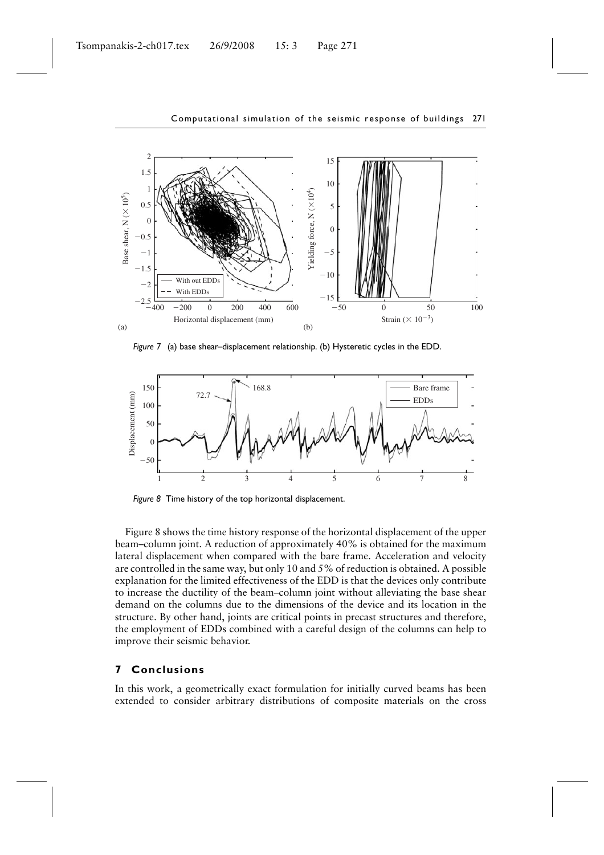

*Figure 7* (a) base shear–displacement relationship. (b) Hysteretic cycles in the EDD.



*Figure 8* Time history of the top horizontal displacement.

Figure 8 shows the time history response of the horizontal displacement of the upper beam–column joint. A reduction of approximately 40% is obtained for the maximum lateral displacement when compared with the bare frame. Acceleration and velocity are controlled in the same way, but only 10 and 5% of reduction is obtained. A possible explanation for the limited effectiveness of the EDD is that the devices only contribute to increase the ductility of the beam–column joint without alleviating the base shear demand on the columns due to the dimensions of the device and its location in the structure. By other hand, joints are critical points in precast structures and therefore, the employment of EDDs combined with a careful design of the columns can help to improve their seismic behavior.

### **7 Conclusions**

In this work, a geometrically exact formulation for initially curved beams has been extended to consider arbitrary distributions of composite materials on the cross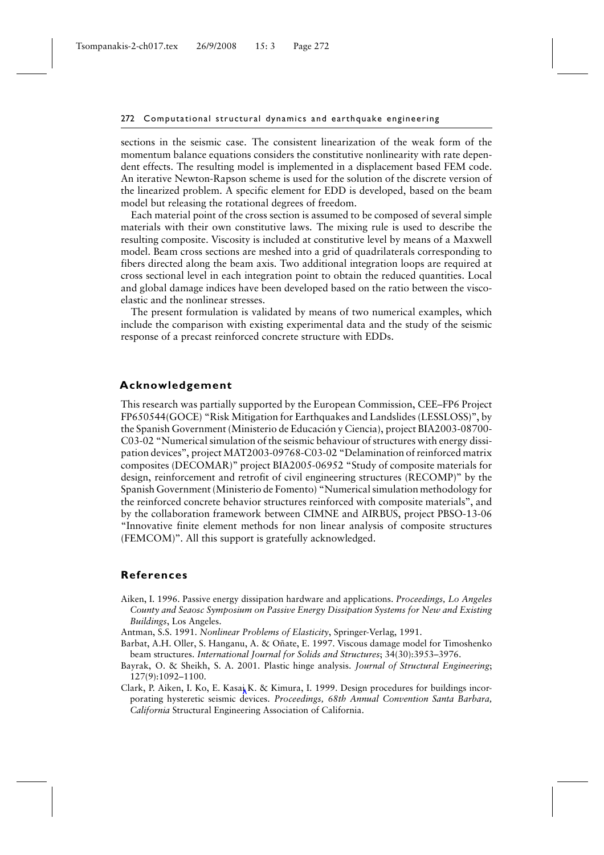sections in the seismic case. The consistent linearization of the weak form of the momentum balance equations considers the constitutive nonlinearity with rate dependent effects. The resulting model is implemented in a displacement based FEM code. An iterative Newton-Rapson scheme is used for the solution of the discrete version of the linearized problem. A specific element for EDD is developed, based on the beam model but releasing the rotational degrees of freedom.

Each material point of the cross section is assumed to be composed of several simple materials with their own constitutive laws. The mixing rule is used to describe the resulting composite. Viscosity is included at constitutive level by means of a Maxwell model. Beam cross sections are meshed into a grid of quadrilaterals corresponding to fibers directed along the beam axis. Two additional integration loops are required at cross sectional level in each integration point to obtain the reduced quantities. Local and global damage indices have been developed based on the ratio between the viscoelastic and the nonlinear stresses.

The present formulation is validated by means of two numerical examples, which include the comparison with existing experimental data and the study of the seismic response of a precast reinforced concrete structure with EDDs.

### **Acknowledgement**

This research was partially supported by the European Commission, CEE–FP6 Project FP650544(GOCE) "Risk Mitigation for Earthquakes and Landslides (LESSLOSS)'', by the Spanish Government (Ministerio de Educación y Ciencia), project BIA2003-08700- C03-02 "Numerical simulation of the seismic behaviour of structures with energy dissipation devices'', project MAT2003-09768-C03-02 "Delamination of reinforced matrix composites (DECOMAR)'' project BIA2005-06952 "Study of composite materials for design, reinforcement and retrofit of civil engineering structures (RECOMP)'' by the Spanish Government (Ministerio de Fomento) "Numerical simulation methodology for the reinforced concrete behavior structures reinforced with composite materials'', and by the collaboration framework between CIMNE and AIRBUS, project PBSO-13-06 "Innovative finite element methods for non linear analysis of composite structures (FEMCOM)''. All this support is gratefully acknowledged.

### **References**

- Aiken, I. 1996. Passive energy dissipation hardware and applications. *Proceedings, Lo Angeles County and Seaosc Symposium on Passive Energy Dissipation Systems for New and Existing Buildings*, Los Angeles.
- Antman, S.S. 1991. *Nonlinear Problems of Elasticity*, Springer-Verlag, 1991.
- Barbat, A.H. Oller, S. Hanganu, A. & Oñate, E. 1997. Viscous damage model for Timoshenko beam structures. *International Journal for Solids and Structures*; 34(30):3953–3976.
- Bayrak, O. & Sheikh, S. A. 2001. Plastic hinge analysis. *Journal of Structural Engineering*; 127(9):1092–1100.
- Clark, P. Aiken, I. Ko, E. Kasaj K. & Kimura, I. 1999. Design procedures for buildings incorporating hysteretic seismic devices. *Proceedings, 68th Annual Convention Santa Barbara, California* Structural Engineering Association of California.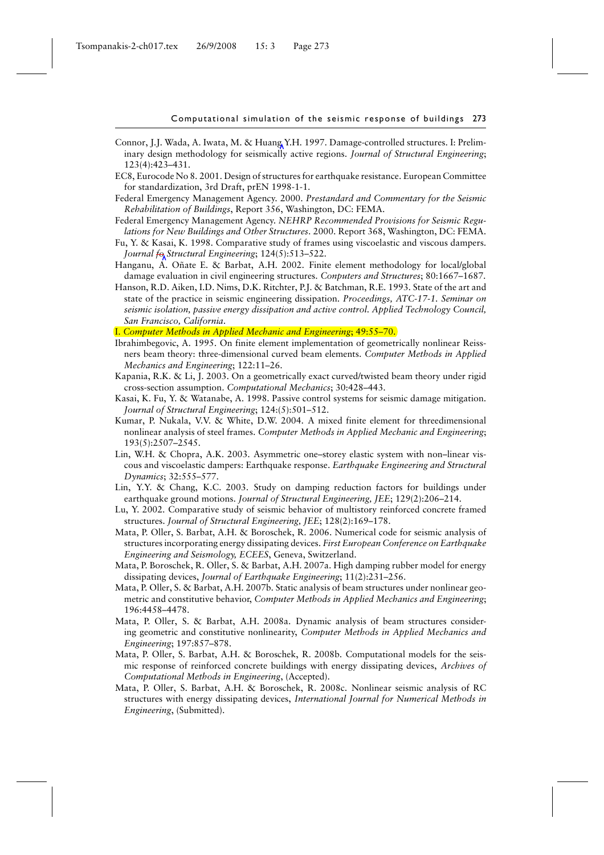- Connor, J.J. Wada, A. Iwata, M. & Huang Y.H. 1997. Damage-controlled structures. I: Preliminary design methodology for seismically active regions. *Journal of Structural Engineering*; 123(4):423–431.
- EC8, Eurocode No 8. 2001. Design of structures for earthquake resistance. European Committee for standardization, 3rd Draft, prEN 1998-1-1.
- Federal Emergency Management Agency. 2000. *Prestandard and Commentary for the Seismic Rehabilitation of Buildings*, Report 356, Washington, DC: FEMA.
- Federal Emergency Management Agency. *NEHRP Recommended Provisions for Seismic Regulations for New Buildings and Other Structures*. 2000. Report 368, Washington, DC: FEMA.
- Fu, Y. & Kasai, K. 1998. Comparative study of frames using viscoelastic and viscous dampers. *Journal fo Structural Engineering*; 124(5):513–522.
- Hanganu, A. Oñate E. & Barbat, A.H. 2002. Finite element methodology for local/global damage evaluation in civil engineering structures. *Conputers and Structures*; 80:1667–1687.
- Hanson, R.D. Aiken, I.D. Nims, D.K. Ritchter, P.J. & Batchman, R.E. 1993. State of the art and state of the practice in seismic engineering dissipation. *Proceedings, ATC-17-1. Seminar on seismic isolation, passive energy dissipation and active control. Applied Technology Council, San Francisco, California*.
- I. *Computer Methods in Applied Mechanic and Engineering*; 49:55–70.
- Ibrahimbegovic, A. 1995. On finite element implementation of geometrically nonlinear Reissners beam theory: three-dimensional curved beam elements. *Computer Methods in Applied Mechanics and Engineering*; 122:11–26.
- Kapania, R.K. & Li, J. 2003. On a geometrically exact curved/twisted beam theory under rigid cross-section assumption. *Computational Mechanics*; 30:428–443.
- Kasai, K. Fu, Y. & Watanabe, A. 1998. Passive control systems for seismic damage mitigation. *Journal of Structural Engineering*; 124:(5):501–512.
- Kumar, P. Nukala, V.V. & White, D.W. 2004. A mixed finite element for threedimensional nonlinear analysis of steel frames. *Computer Methods in Applied Mechanic and Engineering*; 193(5):2507–2545.
- Lin, W.H. & Chopra, A.K. 2003. Asymmetric one–storey elastic system with non–linear viscous and viscoelastic dampers: Earthquake response. *Earthquake Engineering and Structural Dynamics*; 32:555–577.
- Lin, Y.Y. & Chang, K.C. 2003. Study on damping reduction factors for buildings under earthquake ground motions. *Journal of Structural Engineering, JEE*; 129(2):206–214.
- Lu, Y. 2002. Comparative study of seismic behavior of multistory reinforced concrete framed structures. *Journal of Structural Engineering, JEE*; 128(2):169–178.
- Mata, P. Oller, S. Barbat, A.H. & Boroschek, R. 2006. Numerical code for seismic analysis of structures incorporating energy dissipating devices. *First European Conference on Earthquake Engineering and Seismology, ECEES*, Geneva, Switzerland.
- Mata, P. Boroschek, R. Oller, S. & Barbat, A.H. 2007a. High damping rubber model for energy dissipating devices, *Journal of Earthquake Engineering*; 11(2):231–256.
- Mata, P. Oller, S. & Barbat, A.H. 2007b. Static analysis of beam structures under nonlinear geometric and constitutive behavior, *Computer Methods in Applied Mechanics and Engineering*; 196:4458–4478.
- Mata, P. Oller, S. & Barbat, A.H. 2008a. Dynamic analysis of beam structures considering geometric and constitutive nonlinearity, *Computer Methods in Applied Mechanics and Engineering*; 197:857–878.
- Mata, P. Oller, S. Barbat, A.H. & Boroschek, R. 2008b. Computational models for the seismic response of reinforced concrete buildings with energy dissipating devices, *Archives of Computational Methods in Engineering*, (Accepted).
- Mata, P. Oller, S. Barbat, A.H. & Boroschek, R. 2008c. Nonlinear seismic analysis of RC structures with energy dissipating devices, *International Journal for Numerical Methods in Engineering*, (Submitted).